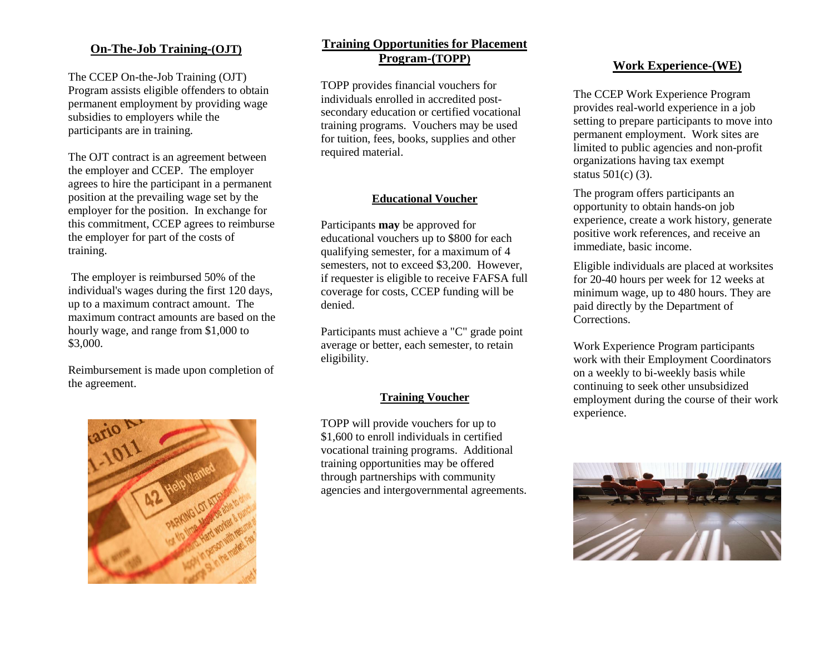#### **On-The-Job Training-(OJT)**

The CCEP On-the-Job Training (OJT) Program assists eligible offenders to obtain permanent employment by providing wage subsidies to employers while the participants are in training.

The OJT contract is an agreement between the employer and CCEP. The employer agrees to hire the participant in a permanent position at the prevailing wage set by the employer for the position. In exchange for this commitment, CCEP agrees to reimburse the employer for part of the costs of training.

The employer is reimbursed 50% of the individual's wages during the first 120 days, up to a maximum contract amount. The maximum contract amounts are based on the hourly wage, and range from \$1,000 to \$3,000.

Reimbursement is made upon completion of the agreement.



### **Training Opportunities for Placement Program-(TOPP)**

TOPP provides financial vouchers for individuals enrolled in accredited postsecondary education or certified vocational training programs. Vouchers may be used for tuition, fees, books, supplies and other required material.

#### **Educational Voucher**

Participants **may** be approved for educational vouchers up to \$800 for each qualifying semester, for a maximum of 4 semesters, not to exceed \$3,200. However, if requester is eligible to receive FAFSA full coverage for costs, CCEP funding will be denied.

Participants must achieve a "C" grade point average or better, each semester, to retain eligibility.

#### **Training Voucher**

TOPP will provide vouchers for up to \$1,600 to enroll individuals in certified vocational training programs. Additional training opportunities may be offered through partnerships with community agencies and intergovernmental agreements.

#### **Work Experience-(WE)**

The CCEP Work Experience Program provides real-world experience in a job setting to prepare participants to move into permanent employment. Work sites are limited to public agencies and non-profit organizations having tax exempt status 501(c) (3).

The program offers participants an opportunity to obtain hands-on job experience, create a work history, generate positive work references, and receive an immediate, basic income.

Eligible individuals are placed at worksites for 20-40 hours per week for 12 weeks at minimum wage, up to 480 hours. They are paid directly by the Department of **Corrections** 

Work Experience Program participants work with their Employment Coordinators on a weekly to bi-weekly basis while continuing to seek other unsubsidized employment during the course of their work experience.